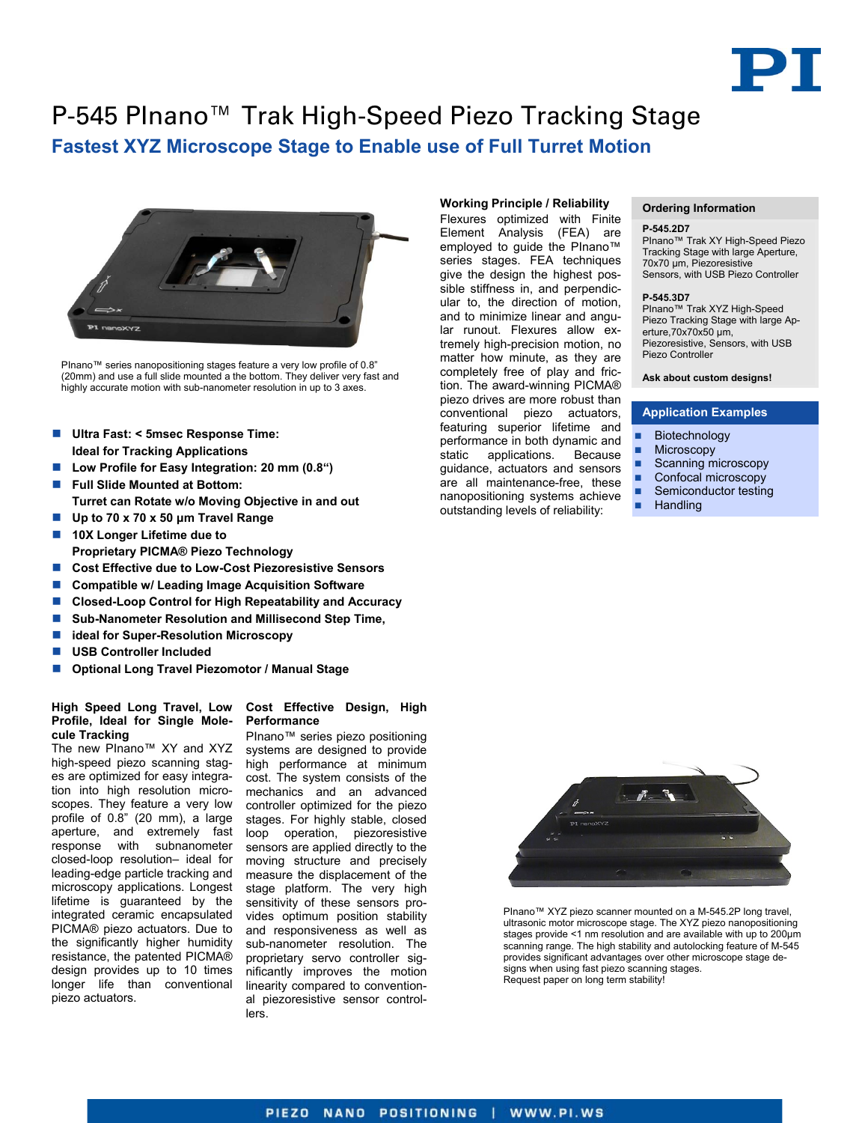

# P-545 PInano™ Trak High-Speed Piezo Tracking Stage **Fastest XYZ Microscope Stage to Enable use of Full Turret Motion**



PInano™ series nanopositioning stages feature a very low profile of 0.8" (20mm) and use a full slide mounted a the bottom. They deliver very fast and highly accurate motion with sub-nanometer resolution in up to 3 axes.

- **Ultra Fast: < 5msec Response Time: Ideal for Tracking Applications**
- Low Profile for Easy Integration: 20 mm (0.8<sup>a</sup>)
- **Full Slide Mounted at Bottom: Turret can Rotate w/o Moving Objective in and out**
- **Up to 70 x 70 x 50 μm Travel Range**
- 10X Longer Lifetime due to **Proprietary PICMA® Piezo Technology**
- Cost Effective due to Low-Cost Piezoresistive Sensors
- Compatible w/ Leading Image Acquisition Software
- Closed-Loop Control for High Repeatability and Accuracy
- Sub-Nanometer Resolution and Millisecond Step Time,
- **ideal for Super-Resolution Microscopy**
- **USB Controller Included**
- **Optional Long Travel Piezomotor / Manual Stage**

### **Profile, Ideal for Single Molecule Tracking**

The new PInano™ XY and XYZ high-speed piezo scanning stages are optimized for easy integration into high resolution microscopes. They feature a very low profile of 0.8" (20 mm), a large aperture, and extremely fast response with subnanometer closed-loop resolution– ideal for leading-edge particle tracking and microscopy applications. Longest lifetime is guaranteed by the integrated ceramic encapsulated PICMA® piezo actuators. Due to the significantly higher humidity resistance, the patented PICMA® design provides up to 10 times longer life than conventional piezo actuators.

#### **High Speed Long Travel, Low Cost Effective Design, High Performance**

PInano™ series piezo positioning systems are designed to provide high performance at minimum cost. The system consists of the mechanics and an advanced controller optimized for the piezo stages. For highly stable, closed loop operation, piezoresistive sensors are applied directly to the moving structure and precisely measure the displacement of the stage platform. The very high sensitivity of these sensors provides optimum position stability and responsiveness as well as sub-nanometer resolution. The proprietary servo controller significantly improves the motion linearity compared to conventional piezoresistive sensor controllers.

#### **Working Principle / Reliability**

Flexures optimized with Finite Element Analysis (FEA) are employed to guide the PInano™ series stages. FEA techniques give the design the highest possible stiffness in, and perpendicular to, the direction of motion, and to minimize linear and angular runout. Flexures allow extremely high-precision motion, no matter how minute, as they are completely free of play and friction. The award-winning PICMA® piezo drives are more robust than conventional piezo actuators, featuring superior lifetime and performance in both dynamic and static applications. Because guidance, actuators and sensors are all maintenance-free, these nanopositioning systems achieve outstanding levels of reliability:

#### **Ordering Information**

#### **P-545.2D7**

PInano™ Trak XY High-Speed Piezo Tracking Stage with large Aperture, 70x70 μm, Piezoresistive Sensors, with USB Piezo Controller

#### **P-545.3D7**

PInano™ Trak XYZ High-Speed Piezo Tracking Stage with large Aperture,70x70x50 μm, Piezoresistive, Sensors, with USB Piezo Controller

### **Ask about custom designs!**

#### **Application Examples**

- Biotechnology
- **Microscopy**
- Scanning microscopy
- Confocal microscopy
- Semiconductor testing
- **Handling**



PInano™ XYZ piezo scanner mounted on a M-545.2P long travel, ultrasonic motor microscope stage. The XYZ piezo nanopositioning stages provide <1 nm resolution and are available with up to 200µm scanning range. The high stability and autolocking feature of M-545 provides significant advantages over other microscope stage designs when using fast piezo scanning stages. Request paper on long term stability!